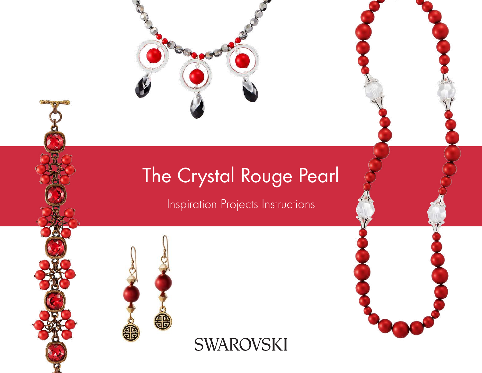

# The Crystal Rouge Pearl

# Inspiration Projects Instructions



**SWAROVSKI**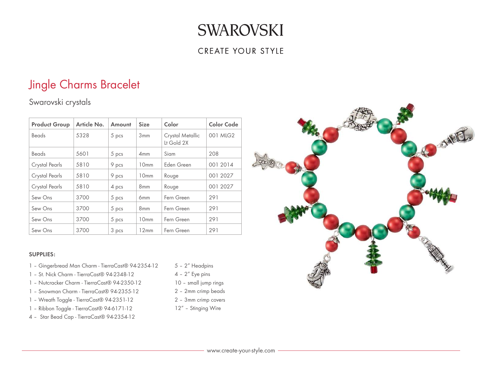### CREATE YOUR STYLE

## Jingle Charms Bracelet

## Swarovski crystals

| <b>Product Group</b> | Article No. | Amount | <b>Size</b>      | Color                          | <b>Color Code</b> |
|----------------------|-------------|--------|------------------|--------------------------------|-------------------|
| Beads                | 5328        | 5 pcs  | 3mm              | Crystal Metallic<br>Lt Gold 2X | 001 MLG2          |
| <b>Beads</b>         | 5601        | 5 pcs  | 4mm              | Siam                           | 208               |
| Crystal Pearls       | 5810        | 9 pcs  | 10mm             | Eden Green                     | 001 2014          |
| Crystal Pearls       | 5810        | 9 pcs  | 10 <sub>mm</sub> | Rouge                          | 001 2027          |
| Crystal Pearls       | 5810        | 4 pcs  | 8 <sub>mm</sub>  | Rouge                          | 001 2027          |
| Sew Ons              | 3700        | 5 pcs  | 6 <sub>mm</sub>  | Fern Green                     | 291               |
| Sew Ons              | 3700        | 5 pcs  | 8 <sub>mm</sub>  | Fern Green                     | 291               |
| Sew Ons              | 3700        | 5 pcs  | 10 <sub>mm</sub> | Fern Green                     | 291               |
| Sew Ons              | 3700        | 3 pcs  | 12mm             | Fern Green                     | 291               |

#### SUPPLIES:

- 1 Gingerbread Man Charm TierraCast® 94-2354-12
- 1 St. Nick Charm TierraCast® 94-2348-12
- 1 Nutcracker Charm TierraCast® 94-2350-12
- 1 Snowman Charm TierraCast® 94-2355-12
- 1 Wreath Toggle TierraCast® 94-2351-12
- 1 Ribbon Toggle TierraCast® 94-6171-12
- 4 Star Bead Cap TierraCast® 94-2354-12
- 5 2" Headpins
- 4 2" Eye pins
- 10 small jump rings
- 2 2mm crimp beads
- 2 3mm crimp covers
- 12" Stinging Wire

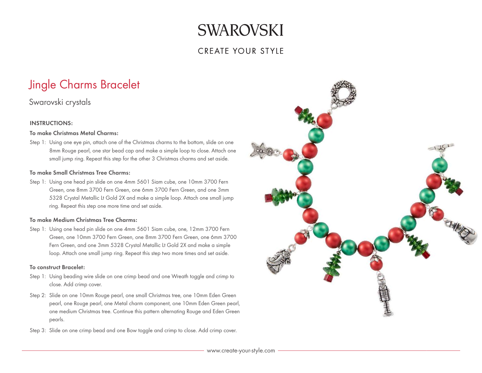### CREATE YOUR STYLE

# Jingle Charms Bracelet

### Swarovski crystals

#### INSTRUCTIONS:

#### To make Christmas Metal Charms:

Step 1: Using one eye pin, attach one of the Christmas charms to the bottom, slide on one 8mm Rouge pearl, one star bead cap and make a simple loop to close. Attach one small jump ring. Repeat this step for the other 3 Christmas charms and set aside.

#### To make Small Christmas Tree Charms:

Step 1: Using one head pin slide on one 4mm 5601 Siam cube, one 10mm 3700 Fern Green, one 8mm 3700 Fern Green, one 6mm 3700 Fern Green, and one 3mm 5328 Crystal Metallic Lt Gold 2X and make a simple loop. Attach one small jump ring. Repeat this step one more time and set aside.

#### To make Medium Christmas Tree Charms:

Step 1: Using one head pin slide on one 4mm 5601 Siam cube, one, 12mm 3700 Fern Green, one 10mm 3700 Fern Green, one 8mm 3700 Fern Green, one 6mm 3700 Fern Green, and one 3mm 5328 Crystal Metallic Lt Gold 2X and make a simple loop. Attach one small jump ring. Repeat this step two more times and set aside.

#### To construct Bracelet:

- Step 1: Using beading wire slide on one crimp bead and one Wreath toggle and crimp to close. Add crimp cover.
- Step 2: Slide on one 10mm Rouge pearl, one small Christmas tree, one 10mm Eden Green pearl, one Rouge pearl, one Metal charm component, one 10mm Eden Green pearl, one medium Christmas tree. Continue this pattern alternating Rouge and Eden Green pearls.
- Step 3: Slide on one crimp bead and one Bow toggle and crimp to close. Add crimp cover.

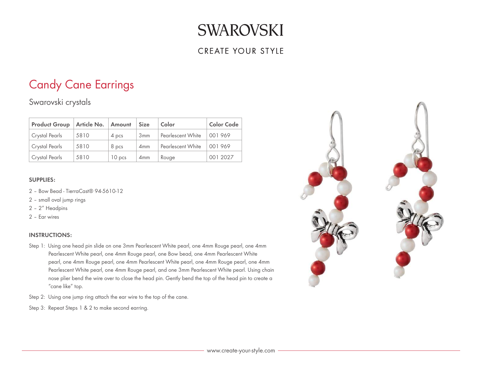### **CREATE YOUR STYLE**

## Candy Cane Earrings

Swarovski crystals

| <b>Product Group</b>  | Article No. | Amount            | <b>Size</b>     | Color             | <b>Color Code</b> |
|-----------------------|-------------|-------------------|-----------------|-------------------|-------------------|
| Crystal Pearls        | 5810        | 4 pcs             | 3mm             | Pearlescent White | 001969            |
| Crystal Pearls        | 5810        | 8 pcs             | 4mm             | Pearlescent White | 001969            |
| <b>Crystal Pearls</b> | 5810        | 10 <sub>pos</sub> | 4 <sub>mm</sub> | Rouge             | 001 2027          |

#### SUPPLIES:

- 2 Bow Bead TierraCast® 94-5610-12
- 2 small oval jump rings
- 2 2" Headpins
- 2 Ear wires

- Step 1: Using one head pin slide on one 3mm Pearlescent White pearl, one 4mm Rouge pearl, one 4mm Pearlescent White pearl, one 4mm Rouge pearl, one Bow bead, one 4mm Pearlescent White pearl, one 4mm Rouge pearl, one 4mm Pearlescent White pearl, one 4mm Rouge pearl, one 4mm Pearlescent White pearl, one 4mm Rouge pearl, and one 3mm Pearlescent White pearl. Using chain nose plier bend the wire over to close the head pin. Gently bend the top of the head pin to create a "cane like" top.
- Step 2: Using one jump ring attach the ear wire to the top of the cane.
- Step 3: Repeat Steps 1 & 2 to make second earring.

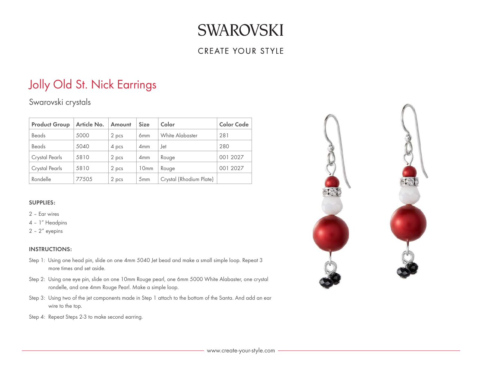## **CREATE YOUR STYLE**

# Jolly Old St. Nick Earrings

Swarovski crystals

| <b>Product Group</b> | Article No. | Amount | <b>Size</b>      | Color                   | <b>Color Code</b> |
|----------------------|-------------|--------|------------------|-------------------------|-------------------|
| Beads                | 5000        | 2 pcs  | 6 <sub>mm</sub>  | White Alabaster         | 281               |
| Beads                | 5040        | 4 pcs  | 4mm              | .Jet                    | 280               |
| Crystal Pearls       | 5810        | 2 pcs  | 4mm              | Rouge                   | 001 2027          |
| Crystal Pearls       | 5810        | 2 pcs  | 10 <sub>mm</sub> | Rouge                   | 001 2027          |
| Rondelle             | 77505       | 2 pcs  | 5mm              | Crystal (Rhodium Plate) |                   |

#### SUPPLIES:

- 2 Ear wires
- 4 1" Headpins
- 2 2" eyepins

- Step 1: Using one head pin, slide on one 4mm 5040 Jet bead and make a small simple loop. Repeat 3 more times and set aside.
- Step 2: Using one eye pin, slide on one 10mm Rouge pearl, one 6mm 5000 White Alabaster, one crystal rondelle, and one 4mm Rouge Pearl. Make a simple loop.
- Step 3: Using two of the jet components made in Step 1 attach to the bottom of the Santa. And add an ear wire to the top.
- Step 4: Repeat Steps 2-3 to make second earring.

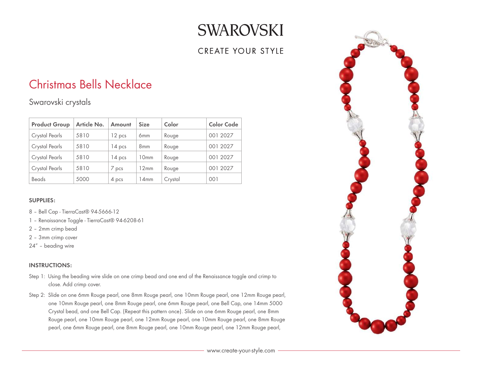## CREATE YOUR STYLE

## Christmas Bells Necklace

Swarovski crystals

| <b>Product Group</b> | Article No. | Amount   | <b>Size</b>      | Color   | Color Code |
|----------------------|-------------|----------|------------------|---------|------------|
| Crystal Pearls       | 5810        | 12 pcs   | 6 <sub>mm</sub>  | Rouge   | 001 2027   |
| Crystal Pearls       | 5810        | $14$ pcs | 8 <sub>mm</sub>  | Rouge   | 001 2027   |
| Crystal Pearls       | 5810        | $14$ pcs | 10 <sub>mm</sub> | Rouge   | 001 2027   |
| Crystal Pearls       | 5810        | 7 pcs    | 12mm             | Rouge   | 001 2027   |
| <b>Beads</b>         | 5000        | 4 pcs    | 14mm             | Crystal | 001        |

#### SUPPLIES:

- 8 Bell Cap TierraCast® 94-5666-12
- 1 Renaissance Toggle TierraCast® 94-6208-61
- 2 2mm crimp bead
- 2 3mm crimp cover
- 24" beading wire

- Step 1: Using the beading wire slide on one crimp bead and one end of the Renaissance toggle and crimp to close. Add crimp cover.
- Step 2: Slide on one 6mm Rouge pearl, one 8mm Rouge pearl, one 10mm Rouge pearl, one 12mm Rouge pearl, one 10mm Rouge pearl, one 8mm Rouge pearl, one 6mm Rouge pearl, one Bell Cap, one 14mm 5000 Crystal bead, and one Bell Cap. (Repeat this pattern once). Slide on one 6mm Rouge pearl, one 8mm Rouge pearl, one 10mm Rouge pearl, one 12mm Rouge pearl, one 10mm Rouge pearl, one 8mm Rouge pearl, one 6mm Rouge pearl, one 8mm Rouge pearl, one 10mm Rouge pearl, one 12mm Rouge pearl,

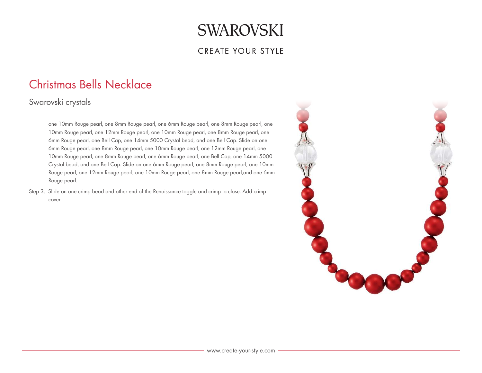### **CREATE YOUR STYLE**

## Christmas Bells Necklace

## Swarovski crystals

one 10mm Rouge pearl, one 8mm Rouge pearl, one 6mm Rouge pearl, one 8mm Rouge pearl, one 10mm Rouge pearl, one 12mm Rouge pearl, one 10mm Rouge pearl, one 8mm Rouge pearl, one 6mm Rouge pearl, one Bell Cap, one 14mm 5000 Crystal bead, and one Bell Cap. Slide on one 6mm Rouge pearl, one 8mm Rouge pearl, one 10mm Rouge pearl, one 12mm Rouge pearl, one 10mm Rouge pearl, one 8mm Rouge pearl, one 6mm Rouge pearl, one Bell Cap, one 14mm 5000 Crystal bead, and one Bell Cap. Slide on one 6mm Rouge pearl, one 8mm Rouge pearl, one 10mm Rouge pearl, one 12mm Rouge pearl, one 10mm Rouge pearl, one 8mm Rouge pearl,and one 6mm Rouge pearl.

Step 3: Slide on one crimp bead and other end of the Renaissance toggle and crimp to close. Add crimp cover.

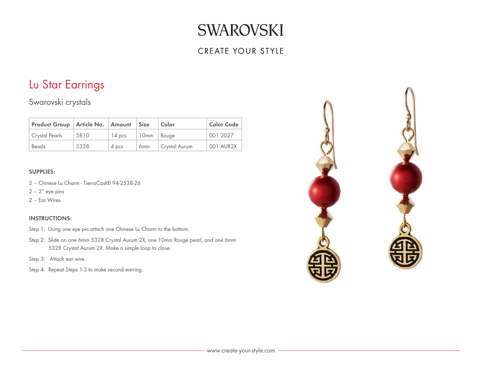### **CREATE YOUR STYLE**

## Lu Star Earrings

Swarovski crystals

| Product Group   Article No.   Amount   Size |      |          |                 | Color         | Color Code |
|---------------------------------------------|------|----------|-----------------|---------------|------------|
| Crystal Pearls                              | 5810 | $14$ pcs | 10mm Rouge      |               | 001 2027   |
| Beads                                       | 5328 | 4 pcs    | 6 <sub>mm</sub> | Crystal Aurum | 001 AUR2X  |

#### SUPPLIES:

- 2 Chinese Lu Charm TierraCast® 94-2538-26
- $2 2''$  eye pins
- 2 Ear Wires

- Step 1: Using one eye pin attach one Chinese Lu Charm to the bottom.
- Step 2: Slide on one 6mm 5328 Crystal Aurum 2X, one 10mm Rouge pearl, and one 6mm 5328 Crystal Aurum 2X. Make a simple loop to close.
- Step 3: Attach ear wire.
- Step 4: Repeat Steps 1-3 to make second earring.

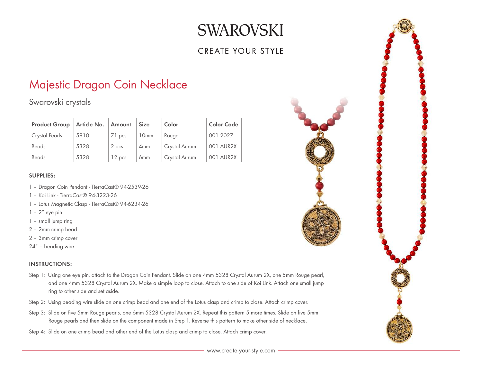## CREATE YOUR STYLE

## Majestic Dragon Coin Necklace

Swarovski crystals

| <b>Product Group</b> | Article No. | Amount | <b>Size</b>      | Color         | <b>Color Code</b> |
|----------------------|-------------|--------|------------------|---------------|-------------------|
| Crystal Pearls       | 5810        | 71 pcs | 10 <sub>mm</sub> | Rouge         | 001 2027          |
| Beads                | 5328        | 2 pcs  | 4mm              | Crystal Aurum | 001 AUR2X         |
| <b>Beads</b>         | 5328        | 12 pcs | 6 <sub>mm</sub>  | Crystal Aurum | 001 AUR2X         |

#### SUPPLIES:

- 1 Dragon Coin Pendant TierraCast® 94-2539-26
- 1 Koi Link TierraCast® 94-3223-26
- 1 Lotus Magnetic Clasp TierraCast® 94-6234-26
- $1 2<sup>''</sup>$  eye pin
- 1 small jump ring
- 2 2mm crimp bead
- 2 3mm crimp cover
- 24" beading wire

- Step 1: Using one eye pin, attach to the Dragon Coin Pendant. Slide on one 4mm 5328 Crystal Aurum 2X, one 5mm Rouge pearl, and one 4mm 5328 Crystal Aurum 2X. Make a simple loop to close. Attach to one side of Koi Link. Attach one small jump ring to other side and set aside.
- Step 2: Using beading wire slide on one crimp bead and one end of the Lotus clasp and crimp to close. Attach crimp cover.
- Step 3: Slide on five 5mm Rouge pearls, one 6mm 5328 Crystal Aurum 2X. Repeat this pattern 5 more times. Slide on five 5mm Rouge pearls and then slide on the component made in Step 1. Reverse this pattern to make other side of necklace.
- Step 4: Slide on one crimp bead and other end of the Lotus clasp and crimp to close. Attach crimp cover.

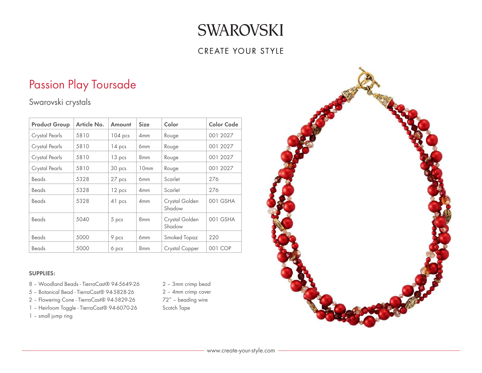### **CREATE YOUR STYLE**

# Passion Play Toursade

Swarovski crystals

| <b>Product Group</b> | Article No. | Amount  | <b>Size</b>      | Color                    | <b>Color Code</b> |
|----------------------|-------------|---------|------------------|--------------------------|-------------------|
| Crystal Pearls       | 5810        | 104 pcs | 4mm              | Rouge                    | 001 2027          |
| Crystal Pearls       | 5810        | 14 pcs  | 6 <sub>mm</sub>  | Rouge                    | 001 2027          |
| Crystal Pearls       | 5810        | 13 pcs  | 8 <sub>mm</sub>  | Rouge                    | 001 2027          |
| Crystal Pearls       | 5810        | 30 pcs  | 10 <sub>mm</sub> | Rouge                    | 001 2027          |
| <b>Beads</b>         | 5328        | 27 pcs  | 6 <sub>mm</sub>  | Scarlet                  | 276               |
| Beads                | 5328        | 12 pcs  | 4mm              | Scarlet                  | 276               |
| Beads                | 5328        | 41 pcs  | 4mm              | Crystal Golden<br>Shadow | 001 GSHA          |
| Beads                | 5040        | 5 pcs   | 8 <sub>mm</sub>  | Crystal Golden<br>Shadow | 001 GSHA          |
| <b>Beads</b>         | 5000        | 9 pcs   | 6 <sub>mm</sub>  | Smoked Topaz             | 220               |
| Beads                | 5000        | 6 pcs   | 8mm              | Crystal Copper           | 001 COP           |

#### SUPPLIES:

- 8 Woodland Beads TierraCast® 94-5649-26
- 5 Botanical Bead TierraCast® 94-5828-26
- 2 Flowering Cone TierraCast® 94-5829-26
- 1 Heirloom Toggle TierraCast® 94-6070-26
- 1 small jump ring
- 2 3mm crimp bead
- 2 4mm crimp cover
- 72" beading wire
- Scotch Tape

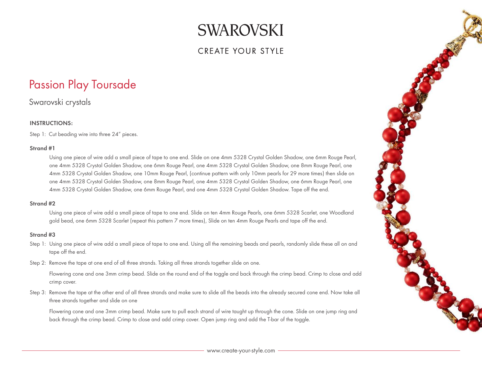### CREATE YOUR STYLE

## Passion Play Toursade

Swarovski crystals

#### INSTRUCTIONS:

Step 1: Cut beading wire into three 24" pieces.

#### Strand #1

Using one piece of wire add a small piece of tape to one end. Slide on one 4mm 5328 Crystal Golden Shadow, one 6mm Rouge Pearl, one 4mm 5328 Crystal Golden Shadow, one 6mm Rouge Pearl, one 4mm 5328 Crystal Golden Shadow, one 8mm Rouge Pearl, one 4mm 5328 Crystal Golden Shadow, one 10mm Rouge Pearl, (continue pattern with only 10mm pearls for 29 more times) then slide on one 4mm 5328 Crystal Golden Shadow, one 8mm Rouge Pearl, one 4mm 5328 Crystal Golden Shadow, one 6mm Rouge Pearl, one 4mm 5328 Crystal Golden Shadow, one 6mm Rouge Pearl, and one 4mm 5328 Crystal Golden Shadow. Tape off the end.

#### Strand #2

Using one piece of wire add a small piece of tape to one end. Slide on ten 4mm Rouge Pearls, one 6mm 5328 Scarlet, one Woodland gold bead, one 6mm 5328 Scarlet (repeat this pattern 7 more times), Slide on ten 4mm Rouge Pearls and tape off the end.

#### Strand #3

- Step 1: Using one piece of wire add a small piece of tape to one end. Using all the remaining beads and pearls, randomly slide these all on and tape off the end.
- Step 2: Remove the tape at one end of all three strands. Taking all three strands together slide on one.

Flowering cone and one 3mm crimp bead. Slide on the round end of the toggle and back through the crimp bead. Crimp to close and add crimp cover.

Step 3: Remove the tape at the other end of all three strands and make sure to slide all the beads into the already secured cone end. Now take all three strands together and slide on one

Flowering cone and one 3mm crimp bead. Make sure to pull each strand of wire taught up through the cone. Slide on one jump ring and back through the crimp bead. Crimp to close and add crimp cover. Open jump ring and add the T-bar of the toggle.

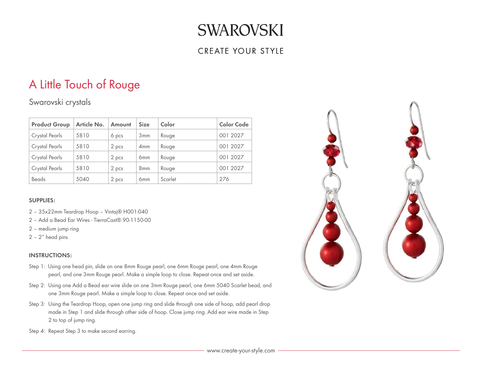### CREATE YOUR STYLE

# A Little Touch of Rouge

## Swarovski crystals

| <b>Product Group</b> | Article No. | Amount | <b>Size</b>     | Color   | <b>Color Code</b> |
|----------------------|-------------|--------|-----------------|---------|-------------------|
| Crystal Pearls       | 5810        | 6 pcs  | 3mm             | Rouge   | 001 2027          |
| Crystal Pearls       | 5810        | 2 pcs  | 4mm             | Rouge   | 001 2027          |
| Crystal Pearls       | 5810        | 2 pcs  | 6 <sub>mm</sub> | Rouge   | 001 2027          |
| Crystal Pearls       | 5810        | 2 pcs  | 8 <sub>mm</sub> | Rouge   | 001 2027          |
| Beads                | 5040        | 2 pcs  | 6 <sub>mm</sub> | Scarlet | 276               |

#### SUPPLIES:

- 2 35x22mm Teardrop Hoop Vintaj® H001-040
- 2 Add a Bead Ear Wires TierraCast® 90-1150-00
- 2 medium jump ring
- 2 2" head pins

- Step 1: Using one head pin, slide on one 8mm Rouge pearl, one 6mm Rouge pearl, one 4mm Rouge pearl, and one 3mm Rouge pearl. Make a simple loop to close. Repeat once and set aside.
- Step 2: Using one Add a Bead ear wire slide on one 3mm Rouge pearl, one 6mm 5040 Scarlet bead, and one 3mm Rouge pearl. Make a simple loop to close. Repeat once and set aside.
- Step 3: Using the Teardrop Hoop, open one jump ring and slide through one side of hoop, add pearl drop made in Step 1 and slide through other side of hoop. Close jump ring. Add ear wire made in Step 2 to top of jump ring.
- Step 4: Repeat Step 3 to make second earring.

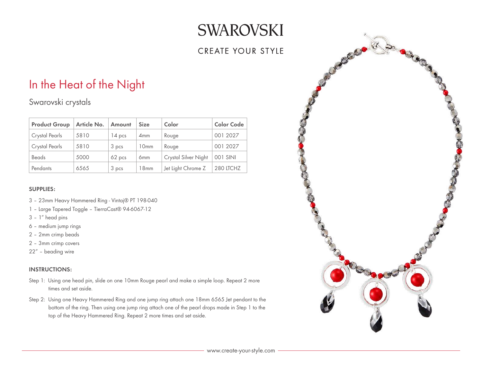## CREATE YOUR STYLE

# In the Heat of the Night

Swarovski crystals

| <b>Product Group</b> | Article No. | Amount   | <b>Size</b>      | Color                | <b>Color Code</b> |
|----------------------|-------------|----------|------------------|----------------------|-------------------|
| Crystal Pearls       | 5810        | $14$ pcs | 4 <sub>mm</sub>  | Rouge                | 001 2027          |
| Crystal Pearls       | 5810        | 3 pcs    | 10 <sub>mm</sub> | Rouge                | 001 2027          |
| Beads                | 5000        | 62 pcs   | 6 <sub>mm</sub>  | Crystal Silver Night | 001 SINI          |
| Pendants             | 6565        | 3 pcs    | 18mm             | Jet Light Chrome Z   | 280 LTCHZ         |

#### SUPPLIES:

- 3 23mm Heavy Hammered Ring Vintaj® PT 198-040
- 1 Large Tapered Toggle TierraCast® 94-6067-12
- 3 1" head pins
- 6 medium jump rings
- 2 2mm crimp beads
- 2 3mm crimp covers
- 22" beading wire

- Step 1: Using one head pin, slide on one 10mm Rouge pearl and make a simple loop. Repeat 2 more times and set aside.
- Step 2: Using one Heavy Hammered Ring and one jump ring attach one 18mm 6565 Jet pendant to the bottom of the ring. Then using one jump ring attach one of the pearl drops made in Step 1 to the top of the Heavy Hammered Ring. Repeat 2 more times and set aside.

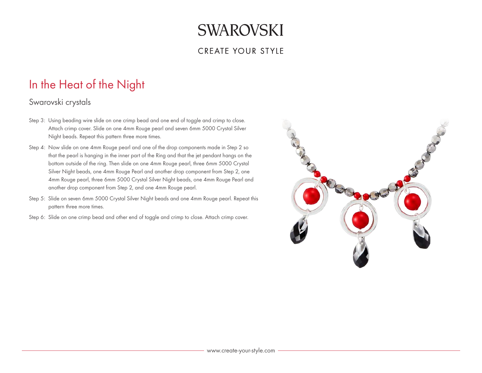### **CREATE YOUR STYLE**

# In the Heat of the Night

### Swarovski crystals

- Step 3: Using beading wire slide on one crimp bead and one end of toggle and crimp to close. Attach crimp cover. Slide on one 4mm Rouge pearl and seven 6mm 5000 Crystal Silver Night beads. Repeat this pattern three more times.
- Step 4: Now slide on one 4mm Rouge pearl and one of the drop components made in Step 2 so that the pearl is hanging in the inner part of the Ring and that the jet pendant hangs on the bottom outside of the ring. Then slide on one 4mm Rouge pearl, three 6mm 5000 Crystal Silver Night beads, one 4mm Rouge Pearl and another drop component from Step 2, one 4mm Rouge pearl, three 6mm 5000 Crystal Silver Night beads, one 4mm Rouge Pearl and another drop component from Step 2, and one 4mm Rouge pearl.
- Step 5: Slide on seven 6mm 5000 Crystal Silver Night beads and one 4mm Rouge pearl. Repeat this pattern three more times.
- Step 6: Slide on one crimp bead and other end of toggle and crimp to close. Attach crimp cover.

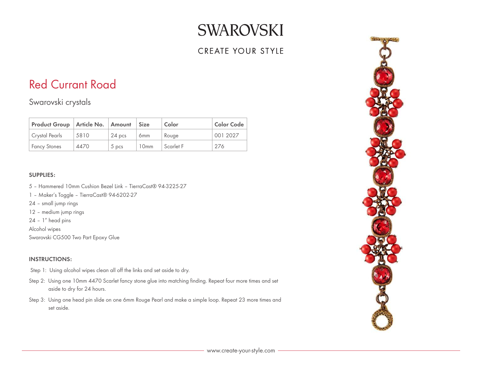## **CREATE YOUR STYLE**

## Red Currant Road

Swarovski crystals

| Product Group   Article No.   Amount   Size |      |                  |                 | Color     | <b>Color Code</b> |
|---------------------------------------------|------|------------------|-----------------|-----------|-------------------|
| Crystal Pearls                              | 5810 | $24$ pcs         | 6 <sub>mm</sub> | Rouge     | 001 2027          |
| <b>Fancy Stones</b>                         | 4470 | 5 <sub>DCS</sub> | 10mm            | Scarlet F | 276               |

#### SUPPLIES:

- 5 Hammered 10mm Cushion Bezel Link TierraCast® 94-3225-27
- 1 Maker's Toggle TierraCast® 94-6202-27
- 24 small jump rings
- 12 medium jump rings
- 24 1" head pins

Alcohol wipes

Swarovski CG500 Two Part Epoxy Glue

- Step 1: Using alcohol wipes clean all off the links and set aside to dry.
- Step 2: Using one 10mm 4470 Scarlet fancy stone glue into matching finding. Repeat four more times and set aside to dry for 24 hours.
- Step 3: Using one head pin slide on one 6mm Rouge Pearl and make a simple loop. Repeat 23 more times and set aside.